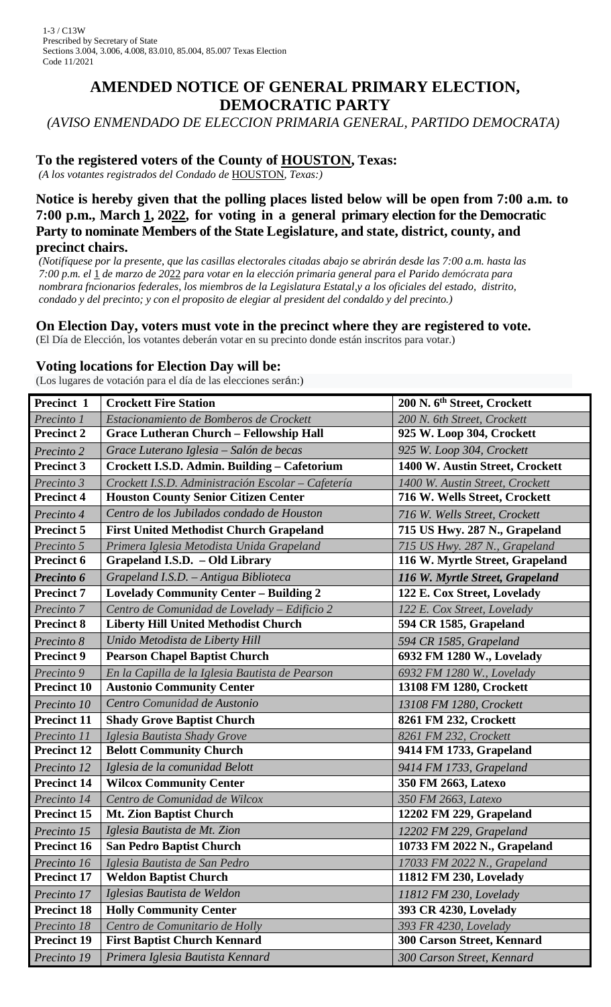# **AMENDED NOTICE OF GENERAL PRIMARY ELECTION, DEMOCRATIC PARTY**

*(AVISO ENMENDADO DE ELECCION PRIMARIA GENERAL, PARTIDO DEMOCRATA)*

# **To the registered voters of the County of HOUSTON, Texas:**

*(A los votantes registrados del Condado de* HOUSTON*, Texas:)*

**Notice is hereby given that the polling places listed below will be open from 7:00 a.m. to 7:00 p.m., March 1, 2022, for voting in a general primary election for the Democratic Party to nominate Members of the State Legislature, and state, district, county, and precinct chairs.**

*(Notifíquese por la presente, que las casillas electorales citadas abajo se abrirán desde las 7:00 a.m. hasta las 7:00 p.m. el* 1 *de marzo de 20*22 *para votar en la elección primaria general para el Parido demócrata para nombrara fncionarios federales, los miembros de la Legislatura Estatal,y a los oficiales del estado, distrito, condado y del precinto; y con el proposito de elegiar al president del condaldo y del precinto.)*

# **On Election Day, voters must vote in the precinct where they are registered to vote.**

(El Día de Elección, los votantes deberán votar en su precinto donde están inscritos para votar.)

# **Voting locations for Election Day will be:**

(Los lugares de votación para el día de las elecciones serán:)

| Precinct 1         | <b>Crockett Fire Station</b>                       | 200 N. 6 <sup>th</sup> Street, Crockett |
|--------------------|----------------------------------------------------|-----------------------------------------|
| Precinto 1         | Estacionamiento de Bomberos de Crockett            | 200 N. 6th Street, Crockett             |
| <b>Precinct 2</b>  | <b>Grace Lutheran Church - Fellowship Hall</b>     | 925 W. Loop 304, Crockett               |
| Precinto 2         | Grace Luterano Iglesia - Salón de becas            | 925 W. Loop 304, Crockett               |
| <b>Precinct 3</b>  | Crockett I.S.D. Admin. Building - Cafetorium       | 1400 W. Austin Street, Crockett         |
| Precinto 3         | Crockett I.S.D. Administración Escolar - Cafetería | 1400 W. Austin Street, Crockett         |
| <b>Precinct 4</b>  | <b>Houston County Senior Citizen Center</b>        | 716 W. Wells Street, Crockett           |
| Precinto 4         | Centro de los Jubilados condado de Houston         | 716 W. Wells Street, Crockett           |
| <b>Precinct 5</b>  | <b>First United Methodist Church Grapeland</b>     | 715 US Hwy. 287 N., Grapeland           |
| Precinto 5         | Primera Iglesia Metodista Unida Grapeland          | 715 US Hwy. 287 N., Grapeland           |
| <b>Precinct 6</b>  | Grapeland I.S.D. - Old Library                     | 116 W. Myrtle Street, Grapeland         |
| Precinto 6         | Grapeland I.S.D. - Antigua Biblioteca              | 116 W. Myrtle Street, Grapeland         |
| <b>Precinct 7</b>  | <b>Lovelady Community Center - Building 2</b>      | 122 E. Cox Street, Lovelady             |
| Precinto 7         | Centro de Comunidad de Lovelady - Edificio 2       | 122 E. Cox Street, Lovelady             |
| <b>Precinct 8</b>  | <b>Liberty Hill United Methodist Church</b>        | 594 CR 1585, Grapeland                  |
| Precinto 8         | Unido Metodista de Liberty Hill                    | 594 CR 1585, Grapeland                  |
| <b>Precinct 9</b>  | <b>Pearson Chapel Baptist Church</b>               | 6932 FM 1280 W., Lovelady               |
| Precinto 9         | En la Capilla de la Iglesia Bautista de Pearson    | 6932 FM 1280 W., Lovelady               |
| <b>Precinct 10</b> | <b>Austonio Community Center</b>                   | 13108 FM 1280, Crockett                 |
| Precinto 10        | Centro Comunidad de Austonio                       | 13108 FM 1280, Crockett                 |
| <b>Precinct 11</b> | <b>Shady Grove Baptist Church</b>                  | 8261 FM 232, Crockett                   |
| Precinto 11        | Iglesia Bautista Shady Grove                       | 8261 FM 232, Crockett                   |
| <b>Precinct 12</b> | <b>Belott Community Church</b>                     | 9414 FM 1733, Grapeland                 |
| Precinto 12        | Iglesia de la comunidad Belott                     | 9414 FM 1733, Grapeland                 |
| <b>Precinct 14</b> | <b>Wilcox Community Center</b>                     | 350 FM 2663, Latexo                     |
| Precinto 14        | Centro de Comunidad de Wilcox                      | 350 FM 2663, Latexo                     |
| <b>Precinct 15</b> | <b>Mt. Zion Baptist Church</b>                     | 12202 FM 229, Grapeland                 |
| Precinto 15        | Iglesia Bautista de Mt. Zion                       | 12202 FM 229, Grapeland                 |
| <b>Precinct 16</b> | <b>San Pedro Baptist Church</b>                    | 10733 FM 2022 N., Grapeland             |
| Precinto 16        | Iglesia Bautista de San Pedro                      | 17033 FM 2022 N., Grapeland             |
| <b>Precinct 17</b> | <b>Weldon Baptist Church</b>                       | 11812 FM 230, Lovelady                  |
| Precinto 17        | Iglesias Bautista de Weldon                        | 11812 FM 230, Lovelady                  |
| <b>Precinct 18</b> | <b>Holly Community Center</b>                      | 393 CR 4230, Lovelady                   |
| Precinto 18        | Centro de Comunitario de Holly                     | 393 FR 4230, Lovelady                   |
| <b>Precinct 19</b> | <b>First Baptist Church Kennard</b>                | <b>300 Carson Street, Kennard</b>       |
| Precinto 19        | Primera Iglesia Bautista Kennard                   | 300 Carson Street, Kennard              |